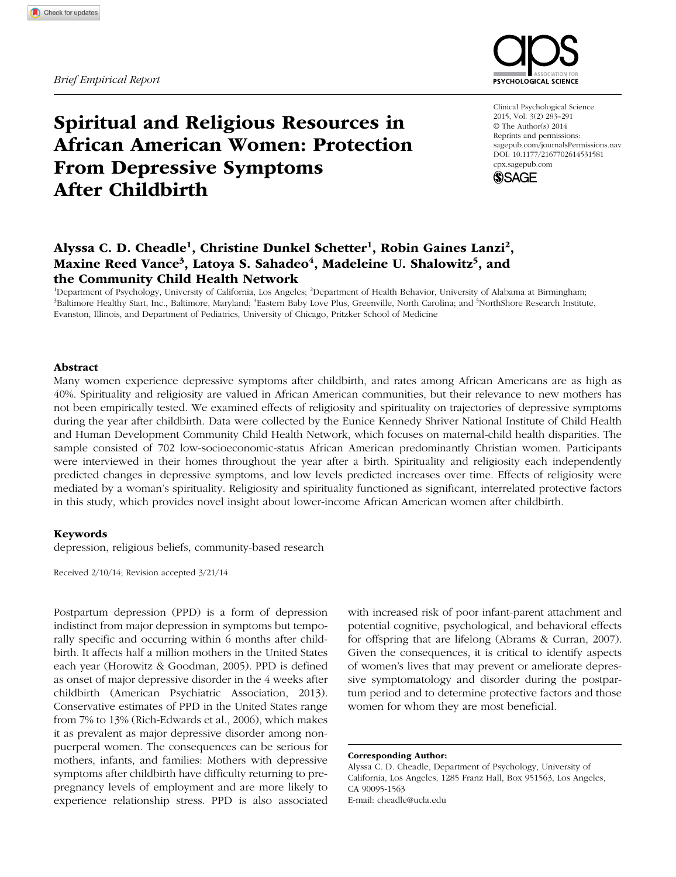*Brief Empirical Report*



# Spiritual and Religious Resources in African American Women: Protection From Depressive Symptoms After Childbirth

Clinical Psychological Science 2015, Vol. 3(2) 283–291 © The Author(s) 2014 Reprints and permissions: sagepub.com/journalsPermissions.nav DOI: 10.1177/2167702614531581 cpx.sagepub.com



## Alyssa C. D. Cheadle<sup>1</sup>, Christine Dunkel Schetter<sup>1</sup>, Robin Gaines Lanzi<sup>2</sup>, Maxine Reed Vance<sup>3</sup>, Latoya S. Sahadeo<sup>4</sup>, Madeleine U. Shalowitz<sup>5</sup>, and the Community Child Health Network

<sup>1</sup>Department of Psychology, University of California, Los Angeles; <sup>2</sup>Department of Health Behavior, University of Alabama at Birmingham;<br><sup>3</sup>Baltimore Healthy Start, Inc., Baltimore, Maryland<sup>, 4</sup>Eastern Baby Love Plus, G Baltimore Healthy Start, Inc., Baltimore, Maryland; <sup>4</sup>Eastern Baby Love Plus, Greenville, North Carolina; and <sup>5</sup>NorthShore Research Institute, Evanston, Illinois, and Department of Pediatrics, University of Chicago, Pritzker School of Medicine

#### Abstract

Many women experience depressive symptoms after childbirth, and rates among African Americans are as high as 40%. Spirituality and religiosity are valued in African American communities, but their relevance to new mothers has not been empirically tested. We examined effects of religiosity and spirituality on trajectories of depressive symptoms during the year after childbirth. Data were collected by the Eunice Kennedy Shriver National Institute of Child Health and Human Development Community Child Health Network, which focuses on maternal-child health disparities. The sample consisted of 702 low-socioeconomic-status African American predominantly Christian women. Participants were interviewed in their homes throughout the year after a birth. Spirituality and religiosity each independently predicted changes in depressive symptoms, and low levels predicted increases over time. Effects of religiosity were mediated by a woman's spirituality. Religiosity and spirituality functioned as significant, interrelated protective factors in this study, which provides novel insight about lower-income African American women after childbirth.

#### Keywords

depression, religious beliefs, community-based research

Received 2/10/14; Revision accepted 3/21/14

Postpartum depression (PPD) is a form of depression indistinct from major depression in symptoms but temporally specific and occurring within 6 months after childbirth. It affects half a million mothers in the United States each year (Horowitz & Goodman, 2005). PPD is defined as onset of major depressive disorder in the 4 weeks after childbirth (American Psychiatric Association, 2013). Conservative estimates of PPD in the United States range from 7% to 13% (Rich-Edwards et al., 2006), which makes it as prevalent as major depressive disorder among nonpuerperal women. The consequences can be serious for mothers, infants, and families: Mothers with depressive symptoms after childbirth have difficulty returning to prepregnancy levels of employment and are more likely to experience relationship stress. PPD is also associated with increased risk of poor infant-parent attachment and potential cognitive, psychological, and behavioral effects for offspring that are lifelong (Abrams & Curran, 2007). Given the consequences, it is critical to identify aspects of women's lives that may prevent or ameliorate depressive symptomatology and disorder during the postpartum period and to determine protective factors and those women for whom they are most beneficial.

#### Corresponding Author:

Alyssa C. D. Cheadle, Department of Psychology, University of California, Los Angeles, 1285 Franz Hall, Box 951563, Los Angeles, CA 90095-1563 E-mail: cheadle@ucla.edu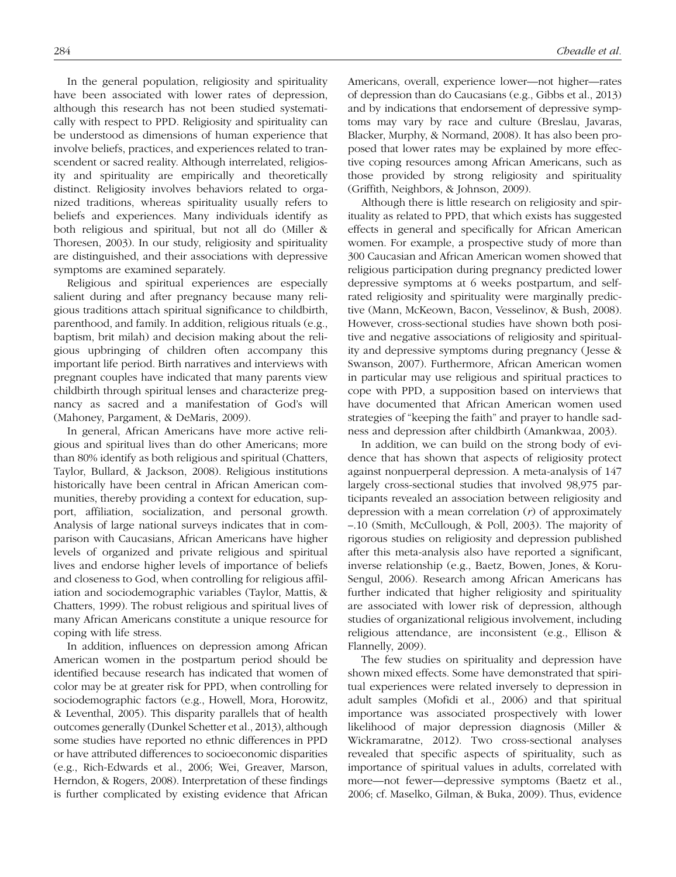In the general population, religiosity and spirituality have been associated with lower rates of depression, although this research has not been studied systematically with respect to PPD. Religiosity and spirituality can be understood as dimensions of human experience that involve beliefs, practices, and experiences related to transcendent or sacred reality. Although interrelated, religiosity and spirituality are empirically and theoretically distinct. Religiosity involves behaviors related to organized traditions, whereas spirituality usually refers to beliefs and experiences. Many individuals identify as both religious and spiritual, but not all do (Miller & Thoresen, 2003). In our study, religiosity and spirituality are distinguished, and their associations with depressive symptoms are examined separately.

Religious and spiritual experiences are especially salient during and after pregnancy because many religious traditions attach spiritual significance to childbirth, parenthood, and family. In addition, religious rituals (e.g., baptism, brit milah) and decision making about the religious upbringing of children often accompany this important life period. Birth narratives and interviews with pregnant couples have indicated that many parents view childbirth through spiritual lenses and characterize pregnancy as sacred and a manifestation of God's will (Mahoney, Pargament, & DeMaris, 2009).

In general, African Americans have more active religious and spiritual lives than do other Americans; more than 80% identify as both religious and spiritual (Chatters, Taylor, Bullard, & Jackson, 2008). Religious institutions historically have been central in African American communities, thereby providing a context for education, support, affiliation, socialization, and personal growth. Analysis of large national surveys indicates that in comparison with Caucasians, African Americans have higher levels of organized and private religious and spiritual lives and endorse higher levels of importance of beliefs and closeness to God, when controlling for religious affiliation and sociodemographic variables (Taylor, Mattis, & Chatters, 1999). The robust religious and spiritual lives of many African Americans constitute a unique resource for coping with life stress.

In addition, influences on depression among African American women in the postpartum period should be identified because research has indicated that women of color may be at greater risk for PPD, when controlling for sociodemographic factors (e.g., Howell, Mora, Horowitz, & Leventhal, 2005). This disparity parallels that of health outcomes generally (Dunkel Schetter et al., 2013), although some studies have reported no ethnic differences in PPD or have attributed differences to socioeconomic disparities (e.g., Rich-Edwards et al., 2006; Wei, Greaver, Marson, Herndon, & Rogers, 2008). Interpretation of these findings is further complicated by existing evidence that African Americans, overall, experience lower—not higher—rates of depression than do Caucasians (e.g., Gibbs et al., 2013) and by indications that endorsement of depressive symptoms may vary by race and culture (Breslau, Javaras, Blacker, Murphy, & Normand, 2008). It has also been proposed that lower rates may be explained by more effective coping resources among African Americans, such as those provided by strong religiosity and spirituality (Griffith, Neighbors, & Johnson, 2009).

Although there is little research on religiosity and spirituality as related to PPD, that which exists has suggested effects in general and specifically for African American women. For example, a prospective study of more than 300 Caucasian and African American women showed that religious participation during pregnancy predicted lower depressive symptoms at 6 weeks postpartum, and selfrated religiosity and spirituality were marginally predictive (Mann, McKeown, Bacon, Vesselinov, & Bush, 2008). However, cross-sectional studies have shown both positive and negative associations of religiosity and spirituality and depressive symptoms during pregnancy (Jesse & Swanson, 2007). Furthermore, African American women in particular may use religious and spiritual practices to cope with PPD, a supposition based on interviews that have documented that African American women used strategies of "keeping the faith" and prayer to handle sadness and depression after childbirth (Amankwaa, 2003).

In addition, we can build on the strong body of evidence that has shown that aspects of religiosity protect against nonpuerperal depression. A meta-analysis of 147 largely cross-sectional studies that involved 98,975 participants revealed an association between religiosity and depression with a mean correlation (*r*) of approximately –.10 (Smith, McCullough, & Poll, 2003). The majority of rigorous studies on religiosity and depression published after this meta-analysis also have reported a significant, inverse relationship (e.g., Baetz, Bowen, Jones, & Koru-Sengul, 2006). Research among African Americans has further indicated that higher religiosity and spirituality are associated with lower risk of depression, although studies of organizational religious involvement, including religious attendance, are inconsistent (e.g., Ellison & Flannelly, 2009).

The few studies on spirituality and depression have shown mixed effects. Some have demonstrated that spiritual experiences were related inversely to depression in adult samples (Mofidi et al., 2006) and that spiritual importance was associated prospectively with lower likelihood of major depression diagnosis (Miller & Wickramaratne, 2012). Two cross-sectional analyses revealed that specific aspects of spirituality, such as importance of spiritual values in adults, correlated with more—not fewer—depressive symptoms (Baetz et al., 2006; cf. Maselko, Gilman, & Buka, 2009). Thus, evidence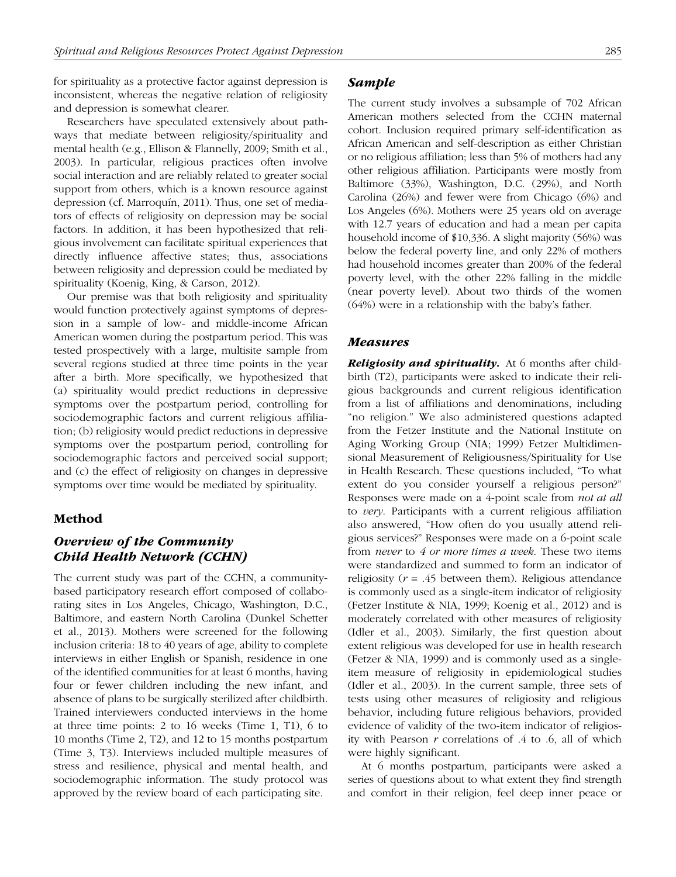for spirituality as a protective factor against depression is inconsistent, whereas the negative relation of religiosity and depression is somewhat clearer.

Researchers have speculated extensively about pathways that mediate between religiosity/spirituality and mental health (e.g., Ellison & Flannelly, 2009; Smith et al., 2003). In particular, religious practices often involve social interaction and are reliably related to greater social support from others, which is a known resource against depression (cf. Marroquín, 2011). Thus, one set of mediators of effects of religiosity on depression may be social factors. In addition, it has been hypothesized that religious involvement can facilitate spiritual experiences that directly influence affective states; thus, associations between religiosity and depression could be mediated by spirituality (Koenig, King, & Carson, 2012).

Our premise was that both religiosity and spirituality would function protectively against symptoms of depression in a sample of low- and middle-income African American women during the postpartum period. This was tested prospectively with a large, multisite sample from several regions studied at three time points in the year after a birth. More specifically, we hypothesized that (a) spirituality would predict reductions in depressive symptoms over the postpartum period, controlling for sociodemographic factors and current religious affiliation; (b) religiosity would predict reductions in depressive symptoms over the postpartum period, controlling for sociodemographic factors and perceived social support; and (c) the effect of religiosity on changes in depressive symptoms over time would be mediated by spirituality.

### Method

## *Overview of the Community Child Health Network (CCHN)*

The current study was part of the CCHN, a communitybased participatory research effort composed of collaborating sites in Los Angeles, Chicago, Washington, D.C., Baltimore, and eastern North Carolina (Dunkel Schetter et al., 2013). Mothers were screened for the following inclusion criteria: 18 to 40 years of age, ability to complete interviews in either English or Spanish, residence in one of the identified communities for at least 6 months, having four or fewer children including the new infant, and absence of plans to be surgically sterilized after childbirth. Trained interviewers conducted interviews in the home at three time points: 2 to 16 weeks (Time 1, T1), 6 to 10 months (Time 2, T2), and 12 to 15 months postpartum (Time 3, T3). Interviews included multiple measures of stress and resilience, physical and mental health, and sociodemographic information. The study protocol was approved by the review board of each participating site.

#### *Sample*

The current study involves a subsample of 702 African American mothers selected from the CCHN maternal cohort. Inclusion required primary self-identification as African American and self-description as either Christian or no religious affiliation; less than 5% of mothers had any other religious affiliation. Participants were mostly from Baltimore (33%), Washington, D.C. (29%), and North Carolina (26%) and fewer were from Chicago (6%) and Los Angeles (6%). Mothers were 25 years old on average with 12.7 years of education and had a mean per capita household income of \$10,336. A slight majority (56%) was below the federal poverty line, and only 22% of mothers had household incomes greater than 200% of the federal poverty level, with the other 22% falling in the middle (near poverty level). About two thirds of the women (64%) were in a relationship with the baby's father.

#### *Measures*

*Religiosity and spirituality.* At 6 months after childbirth (T2), participants were asked to indicate their religious backgrounds and current religious identification from a list of affiliations and denominations, including "no religion." We also administered questions adapted from the Fetzer Institute and the National Institute on Aging Working Group (NIA; 1999) Fetzer Multidimensional Measurement of Religiousness/Spirituality for Use in Health Research. These questions included, "To what extent do you consider yourself a religious person?" Responses were made on a 4-point scale from *not at all* to *very*. Participants with a current religious affiliation also answered, "How often do you usually attend religious services?" Responses were made on a 6-point scale from *never* to *4 or more times a week*. These two items were standardized and summed to form an indicator of religiosity ( $r = .45$  between them). Religious attendance is commonly used as a single-item indicator of religiosity (Fetzer Institute & NIA, 1999; Koenig et al., 2012) and is moderately correlated with other measures of religiosity (Idler et al., 2003). Similarly, the first question about extent religious was developed for use in health research (Fetzer & NIA, 1999) and is commonly used as a singleitem measure of religiosity in epidemiological studies (Idler et al., 2003). In the current sample, three sets of tests using other measures of religiosity and religious behavior, including future religious behaviors, provided evidence of validity of the two-item indicator of religiosity with Pearson *r* correlations of .4 to .6, all of which were highly significant.

At 6 months postpartum, participants were asked a series of questions about to what extent they find strength and comfort in their religion, feel deep inner peace or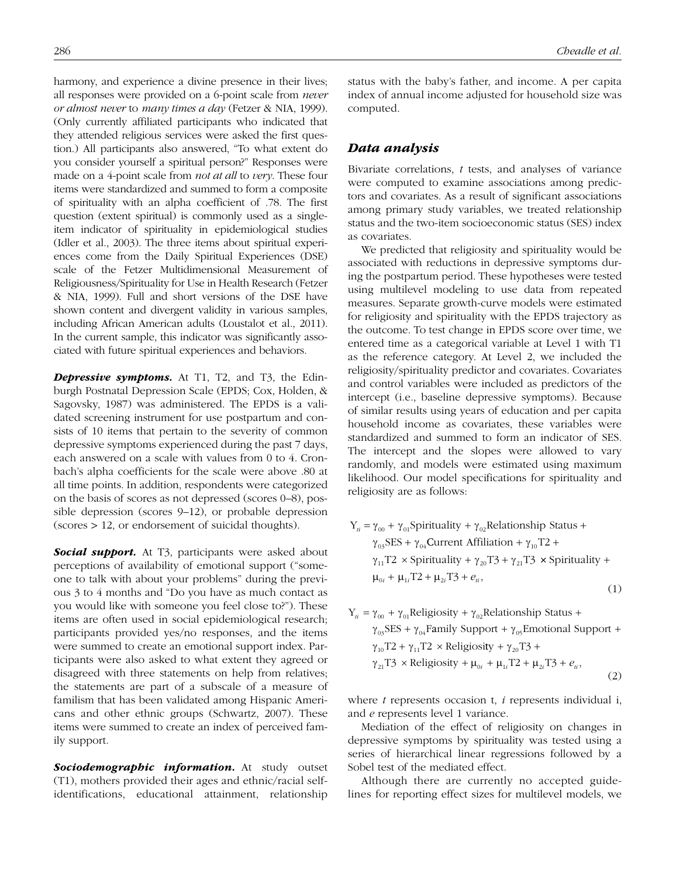harmony, and experience a divine presence in their lives; all responses were provided on a 6-point scale from *never or almost never* to *many times a day* (Fetzer & NIA, 1999). (Only currently affiliated participants who indicated that they attended religious services were asked the first question.) All participants also answered, "To what extent do you consider yourself a spiritual person?" Responses were made on a 4-point scale from *not at all* to *very*. These four items were standardized and summed to form a composite of spirituality with an alpha coefficient of .78. The first question (extent spiritual) is commonly used as a singleitem indicator of spirituality in epidemiological studies (Idler et al., 2003). The three items about spiritual experiences come from the Daily Spiritual Experiences (DSE) scale of the Fetzer Multidimensional Measurement of Religiousness/Spirituality for Use in Health Research (Fetzer & NIA, 1999). Full and short versions of the DSE have shown content and divergent validity in various samples, including African American adults (Loustalot et al., 2011). In the current sample, this indicator was significantly associated with future spiritual experiences and behaviors.

**Depressive symptoms.** At T1, T2, and T3, the Edinburgh Postnatal Depression Scale (EPDS; Cox, Holden, & Sagovsky, 1987) was administered. The EPDS is a validated screening instrument for use postpartum and consists of 10 items that pertain to the severity of common depressive symptoms experienced during the past 7 days, each answered on a scale with values from 0 to 4. Cronbach's alpha coefficients for the scale were above .80 at all time points. In addition, respondents were categorized on the basis of scores as not depressed (scores 0–8), possible depression (scores 9–12), or probable depression (scores > 12, or endorsement of suicidal thoughts).

**Social support.** At T3, participants were asked about perceptions of availability of emotional support ("someone to talk with about your problems" during the previous 3 to 4 months and "Do you have as much contact as you would like with someone you feel close to?"). These items are often used in social epidemiological research; participants provided yes/no responses, and the items were summed to create an emotional support index. Participants were also asked to what extent they agreed or disagreed with three statements on help from relatives; the statements are part of a subscale of a measure of familism that has been validated among Hispanic Americans and other ethnic groups (Schwartz, 2007). These items were summed to create an index of perceived family support.

*Sociodemographic information.* At study outset (T1), mothers provided their ages and ethnic/racial selfidentifications, educational attainment, relationship status with the baby's father, and income. A per capita index of annual income adjusted for household size was computed.

#### *Data analysis*

Bivariate correlations, *t* tests, and analyses of variance were computed to examine associations among predictors and covariates. As a result of significant associations among primary study variables, we treated relationship status and the two-item socioeconomic status (SES) index as covariates.

We predicted that religiosity and spirituality would be associated with reductions in depressive symptoms during the postpartum period. These hypotheses were tested using multilevel modeling to use data from repeated measures. Separate growth-curve models were estimated for religiosity and spirituality with the EPDS trajectory as the outcome. To test change in EPDS score over time, we entered time as a categorical variable at Level 1 with T1 as the reference category. At Level 2, we included the religiosity/spirituality predictor and covariates. Covariates and control variables were included as predictors of the intercept (i.e., baseline depressive symptoms). Because of similar results using years of education and per capita household income as covariates, these variables were standardized and summed to form an indicator of SES. The intercept and the slopes were allowed to vary randomly, and models were estimated using maximum likelihood. Our model specifications for spirituality and religiosity are as follows:

$$
Y_{ii} = \gamma_{00} + \gamma_{01} \text{Spirituality} + \gamma_{02} \text{Relationship Status} +
$$
  
\n
$$
\gamma_{03} \text{SES} + \gamma_{04} \text{Current Affilation} + \gamma_{10} \text{T2} +
$$
  
\n
$$
\gamma_{11} \text{T2} \times \text{Spirituality} + \gamma_{20} \text{T3} + \gamma_{21} \text{T3} \times \text{Spirituality} +
$$
  
\n
$$
\mu_{0i} + \mu_{1i} \text{T2} + \mu_{2i} \text{T3} + e_{ii},
$$
\n(1)

$$
Y_{ii} = \gamma_{00} + \gamma_{01} \text{Religiosity} + \gamma_{02} \text{Relationship Status} + \gamma_{03} \text{SES} + \gamma_{04} \text{Family Support} + \gamma_{05} \text{Emotional Support} + \gamma_{10} \text{T2} + \gamma_{11} \text{T2} \times \text{Religiosity} + \gamma_{20} \text{T3} + \gamma_{21} \text{T3} \times \text{Religiosity} + \mu_{0i} + \mu_{1i} \text{T2} + \mu_{2i} \text{T3} + e_{ii}, \tag{2}
$$

where *t* represents occasion t, *i* represents individual i, and *e* represents level 1 variance.

Mediation of the effect of religiosity on changes in depressive symptoms by spirituality was tested using a series of hierarchical linear regressions followed by a Sobel test of the mediated effect.

Although there are currently no accepted guidelines for reporting effect sizes for multilevel models, we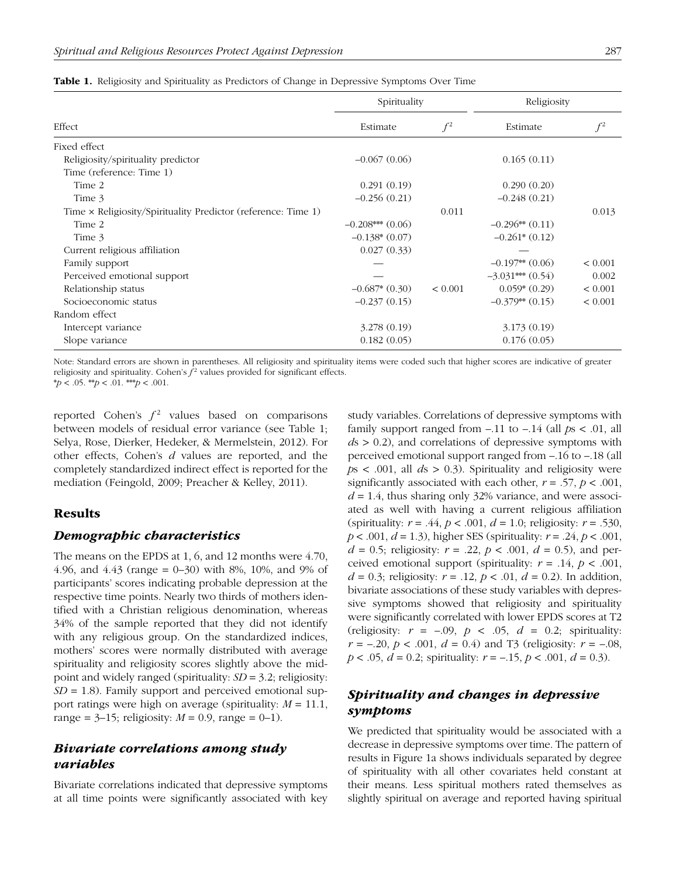| Effect                                                               | Spirituality       |         | Religiosity          |         |
|----------------------------------------------------------------------|--------------------|---------|----------------------|---------|
|                                                                      | Estimate           | $f^2$   | Estimate             | $f^2$   |
| Fixed effect                                                         |                    |         |                      |         |
| Religiosity/spirituality predictor                                   | $-0.067(0.06)$     |         | 0.165(0.11)          |         |
| Time (reference: Time 1)                                             |                    |         |                      |         |
| Time 2                                                               | 0.291(0.19)        |         | 0.290(0.20)          |         |
| Time 3                                                               | $-0.256(0.21)$     |         | $-0.248(0.21)$       |         |
| Time $\times$ Religiosity/Spirituality Predictor (reference: Time 1) |                    | 0.011   |                      | 0.013   |
| Time 2                                                               | $-0.208***$ (0.06) |         | $-0.296**$ $(0.11)$  |         |
| Time 3                                                               | $-0.138*(0.07)$    |         | $-0.261*(0.12)$      |         |
| Current religious affiliation                                        | 0.027(0.33)        |         |                      |         |
| Family support                                                       |                    |         | $-0.197**$ (0.06)    | < 0.001 |
| Perceived emotional support                                          |                    |         | $-3.031***$ $(0.54)$ | 0.002   |
| Relationship status                                                  | $-0.687*(0.30)$    | < 0.001 | $0.059*(0.29)$       | < 0.001 |
| Socioeconomic status                                                 | $-0.237(0.15)$     |         | $-0.379**$ $(0.15)$  | < 0.001 |
| Random effect                                                        |                    |         |                      |         |
| Intercept variance                                                   | 3.278(0.19)        |         | 3.173(0.19)          |         |
| Slope variance                                                       | 0.182(0.05)        |         | 0.176(0.05)          |         |

**Table 1.** Religiosity and Spirituality as Predictors of Change in Depressive Symptoms Over Time

Note: Standard errors are shown in parentheses. All religiosity and spirituality items were coded such that higher scores are indicative of greater religiosity and spirituality. Cohen's  $f^2$  values provided for significant effects.

\**p* < .05. \*\**p* < .01. \*\*\**p* < .001.

reported Cohen's  $f^2$  values based on comparisons between models of residual error variance (see Table 1; Selya, Rose, Dierker, Hedeker, & Mermelstein, 2012). For other effects, Cohen's *d* values are reported, and the completely standardized indirect effect is reported for the mediation (Feingold, 2009; Preacher & Kelley, 2011).

#### Results

#### *Demographic characteristics*

The means on the EPDS at 1, 6, and 12 months were 4.70, 4.96, and 4.43 (range = 0–30) with 8%, 10%, and 9% of participants' scores indicating probable depression at the respective time points. Nearly two thirds of mothers identified with a Christian religious denomination, whereas 34% of the sample reported that they did not identify with any religious group. On the standardized indices, mothers' scores were normally distributed with average spirituality and religiosity scores slightly above the midpoint and widely ranged (spirituality: *SD* = 3.2; religiosity: *SD* = 1.8). Family support and perceived emotional support ratings were high on average (spirituality: *M* = 11.1, range =  $3-15$ ; religiosity:  $M = 0.9$ , range = 0-1).

## *Bivariate correlations among study variables*

Bivariate correlations indicated that depressive symptoms at all time points were significantly associated with key study variables. Correlations of depressive symptoms with family support ranged from  $-.11$  to  $-.14$  (all  $ps < .01$ , all *d*s > 0.2), and correlations of depressive symptoms with perceived emotional support ranged from –.16 to –.18 (all *p*s < .001, all *d*s > 0.3). Spirituality and religiosity were significantly associated with each other, *r* = .57, *p* < .001,  $d = 1.4$ , thus sharing only 32% variance, and were associated as well with having a current religious affiliation (spirituality: *r* = .44, *p* < .001, *d* = 1.0; religiosity: *r* = .530, *p* < .001, *d* = 1.3), higher SES (spirituality: *r* = .24, *p* < .001,  $d = 0.5$ ; religiosity:  $r = .22$ ,  $p < .001$ ,  $d = 0.5$ ), and perceived emotional support (spirituality: *r* = .14, *p* < .001, *d* = 0.3; religiosity:  $r = .12$ ,  $p < .01$ ,  $d = 0.2$ ). In addition, bivariate associations of these study variables with depressive symptoms showed that religiosity and spirituality were significantly correlated with lower EPDS scores at T2 (religiosity:  $r = -.09$ ,  $p < .05$ ,  $d = 0.2$ ; spirituality:  $r = -.20, p < .001, d = 0.4$ ) and T3 (religiosity:  $r = -.08$ , *p* < .05, *d* = 0.2; spirituality: *r* = –.15, *p* < .001, *d* = 0.3).

## *Spirituality and changes in depressive symptoms*

We predicted that spirituality would be associated with a decrease in depressive symptoms over time. The pattern of results in Figure 1a shows individuals separated by degree of spirituality with all other covariates held constant at their means. Less spiritual mothers rated themselves as slightly spiritual on average and reported having spiritual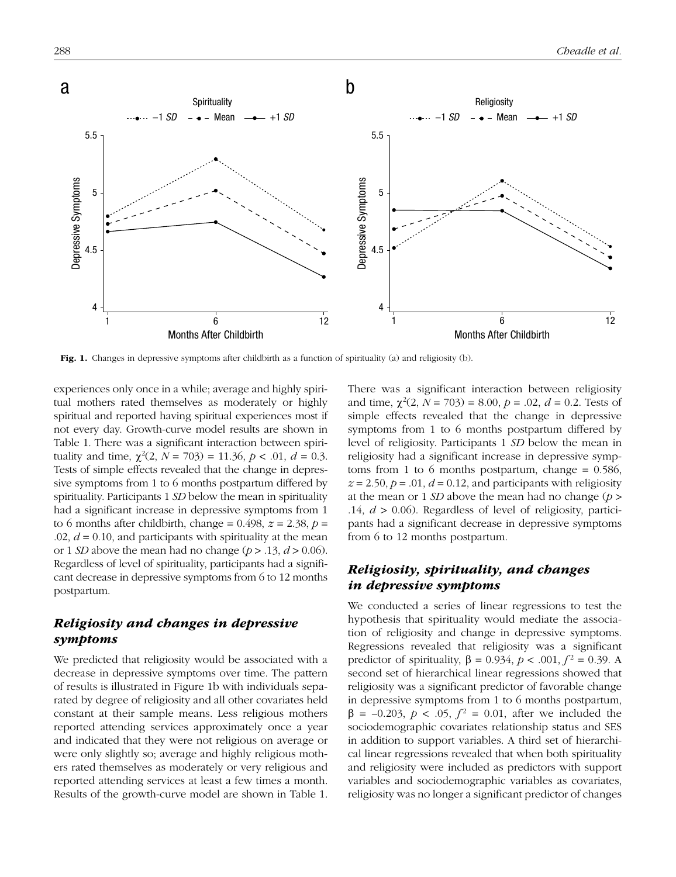

Fig. 1. Changes in depressive symptoms after childbirth as a function of spirituality (a) and religiosity (b).

experiences only once in a while; average and highly spiritual mothers rated themselves as moderately or highly spiritual and reported having spiritual experiences most if not every day. Growth-curve model results are shown in Table 1. There was a significant interaction between spirituality and time,  $\chi^2(2, N = 703) = 11.36, p < .01, d = 0.3$ . Tests of simple effects revealed that the change in depressive symptoms from 1 to 6 months postpartum differed by spirituality. Participants 1 *SD* below the mean in spirituality had a significant increase in depressive symptoms from 1 to 6 months after childbirth, change =  $0.498$ ,  $z = 2.38$ ,  $p =$ .02, *d* = 0.10, and participants with spirituality at the mean or 1 *SD* above the mean had no change  $(p > .13, d > 0.06)$ . Regardless of level of spirituality, participants had a significant decrease in depressive symptoms from 6 to 12 months postpartum.

## *Religiosity and changes in depressive symptoms*

We predicted that religiosity would be associated with a decrease in depressive symptoms over time. The pattern of results is illustrated in Figure 1b with individuals separated by degree of religiosity and all other covariates held constant at their sample means. Less religious mothers reported attending services approximately once a year and indicated that they were not religious on average or were only slightly so; average and highly religious mothers rated themselves as moderately or very religious and reported attending services at least a few times a month. Results of the growth-curve model are shown in Table 1. There was a significant interaction between religiosity and time,  $\chi^2(2, N = 703) = 8.00, p = .02, d = 0.2$ . Tests of simple effects revealed that the change in depressive symptoms from 1 to 6 months postpartum differed by level of religiosity. Participants 1 *SD* below the mean in religiosity had a significant increase in depressive symptoms from 1 to 6 months postpartum, change  $= 0.586$ ,  $z = 2.50$ ,  $p = .01$ ,  $d = 0.12$ , and participants with religiosity at the mean or 1 *SD* above the mean had no change (*p* > .14, *d* > 0.06). Regardless of level of religiosity, participants had a significant decrease in depressive symptoms from 6 to 12 months postpartum.

## *Religiosity, spirituality, and changes in depressive symptoms*

We conducted a series of linear regressions to test the hypothesis that spirituality would mediate the association of religiosity and change in depressive symptoms. Regressions revealed that religiosity was a significant predictor of spirituality,  $β = 0.934, p < .001, f<sup>2</sup> = 0.39$ . A second set of hierarchical linear regressions showed that religiosity was a significant predictor of favorable change in depressive symptoms from 1 to 6 months postpartum,  $β = -0.203, p < .05, f<sup>2</sup> = 0.01$ , after we included the sociodemographic covariates relationship status and SES in addition to support variables. A third set of hierarchical linear regressions revealed that when both spirituality and religiosity were included as predictors with support variables and sociodemographic variables as covariates, religiosity was no longer a significant predictor of changes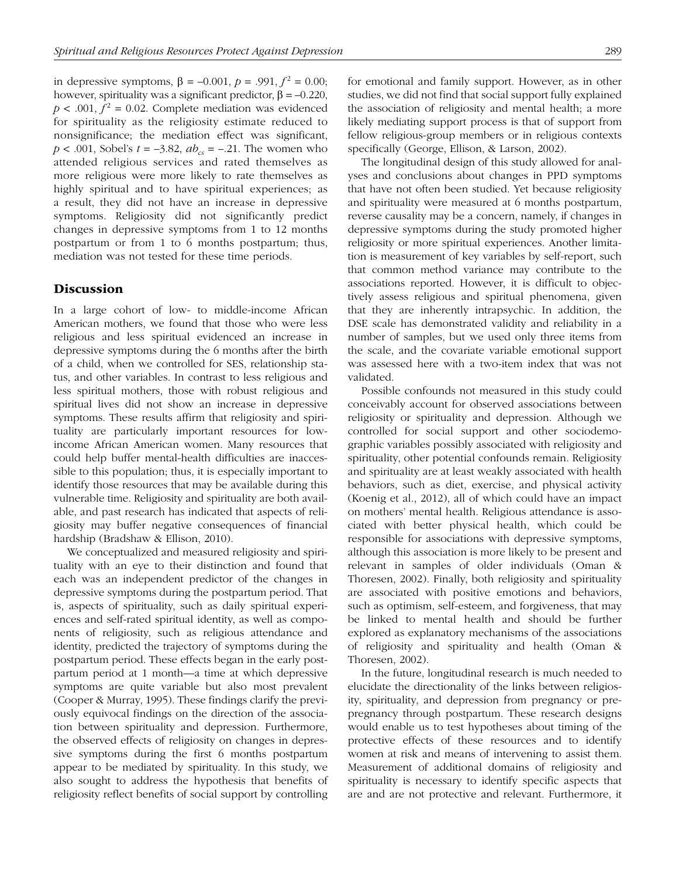in depressive symptoms,  $β = -0.001$ ,  $p = .991$ ,  $f^2 = 0.00$ ; however, spirituality was a significant predictor,  $\beta = -0.220$ ,  $p < .001, f^2 = 0.02$ . Complete mediation was evidenced for spirituality as the religiosity estimate reduced to nonsignificance; the mediation effect was significant,  $p < .001$ , Sobel's  $t = -3.82$ ,  $ab_{cs} = -.21$ . The women who attended religious services and rated themselves as more religious were more likely to rate themselves as highly spiritual and to have spiritual experiences; as a result, they did not have an increase in depressive symptoms. Religiosity did not significantly predict changes in depressive symptoms from 1 to 12 months postpartum or from 1 to 6 months postpartum; thus, mediation was not tested for these time periods.

#### **Discussion**

In a large cohort of low- to middle-income African American mothers, we found that those who were less religious and less spiritual evidenced an increase in depressive symptoms during the 6 months after the birth of a child, when we controlled for SES, relationship status, and other variables. In contrast to less religious and less spiritual mothers, those with robust religious and spiritual lives did not show an increase in depressive symptoms. These results affirm that religiosity and spirituality are particularly important resources for lowincome African American women. Many resources that could help buffer mental-health difficulties are inaccessible to this population; thus, it is especially important to identify those resources that may be available during this vulnerable time. Religiosity and spirituality are both available, and past research has indicated that aspects of religiosity may buffer negative consequences of financial hardship (Bradshaw & Ellison, 2010).

We conceptualized and measured religiosity and spirituality with an eye to their distinction and found that each was an independent predictor of the changes in depressive symptoms during the postpartum period. That is, aspects of spirituality, such as daily spiritual experiences and self-rated spiritual identity, as well as components of religiosity, such as religious attendance and identity, predicted the trajectory of symptoms during the postpartum period. These effects began in the early postpartum period at 1 month—a time at which depressive symptoms are quite variable but also most prevalent (Cooper & Murray, 1995). These findings clarify the previously equivocal findings on the direction of the association between spirituality and depression. Furthermore, the observed effects of religiosity on changes in depressive symptoms during the first 6 months postpartum appear to be mediated by spirituality. In this study, we also sought to address the hypothesis that benefits of religiosity reflect benefits of social support by controlling for emotional and family support. However, as in other studies, we did not find that social support fully explained the association of religiosity and mental health; a more likely mediating support process is that of support from fellow religious-group members or in religious contexts specifically (George, Ellison, & Larson, 2002).

The longitudinal design of this study allowed for analyses and conclusions about changes in PPD symptoms that have not often been studied. Yet because religiosity and spirituality were measured at 6 months postpartum, reverse causality may be a concern, namely, if changes in depressive symptoms during the study promoted higher religiosity or more spiritual experiences. Another limitation is measurement of key variables by self-report, such that common method variance may contribute to the associations reported. However, it is difficult to objectively assess religious and spiritual phenomena, given that they are inherently intrapsychic. In addition, the DSE scale has demonstrated validity and reliability in a number of samples, but we used only three items from the scale, and the covariate variable emotional support was assessed here with a two-item index that was not validated.

Possible confounds not measured in this study could conceivably account for observed associations between religiosity or spirituality and depression. Although we controlled for social support and other sociodemographic variables possibly associated with religiosity and spirituality, other potential confounds remain. Religiosity and spirituality are at least weakly associated with health behaviors, such as diet, exercise, and physical activity (Koenig et al., 2012), all of which could have an impact on mothers' mental health. Religious attendance is associated with better physical health, which could be responsible for associations with depressive symptoms, although this association is more likely to be present and relevant in samples of older individuals (Oman & Thoresen, 2002). Finally, both religiosity and spirituality are associated with positive emotions and behaviors, such as optimism, self-esteem, and forgiveness, that may be linked to mental health and should be further explored as explanatory mechanisms of the associations of religiosity and spirituality and health (Oman & Thoresen, 2002).

In the future, longitudinal research is much needed to elucidate the directionality of the links between religiosity, spirituality, and depression from pregnancy or prepregnancy through postpartum. These research designs would enable us to test hypotheses about timing of the protective effects of these resources and to identify women at risk and means of intervening to assist them. Measurement of additional domains of religiosity and spirituality is necessary to identify specific aspects that are and are not protective and relevant. Furthermore, it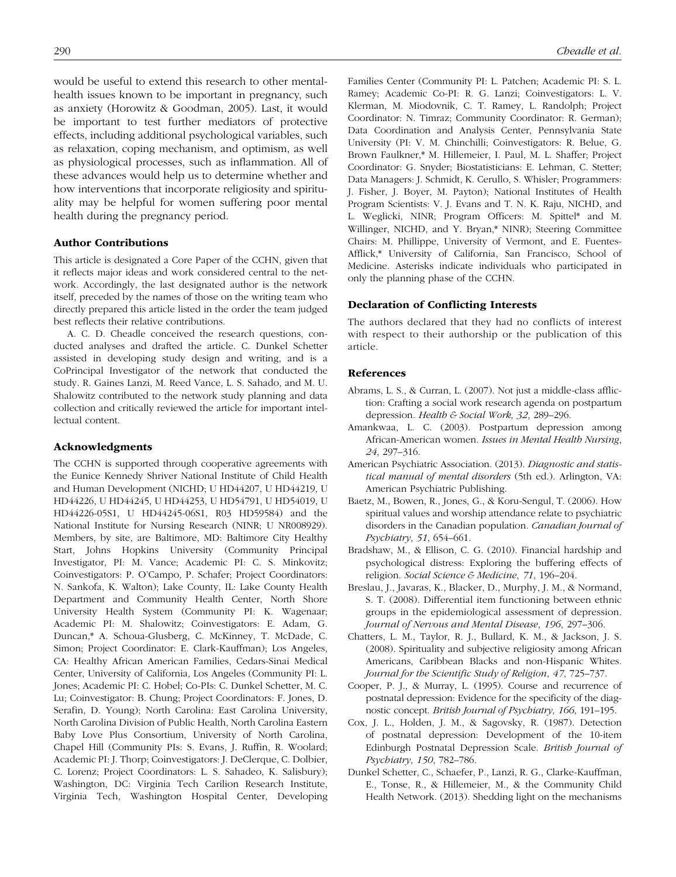would be useful to extend this research to other mentalhealth issues known to be important in pregnancy, such as anxiety (Horowitz & Goodman, 2005). Last, it would be important to test further mediators of protective effects, including additional psychological variables, such as relaxation, coping mechanism, and optimism, as well as physiological processes, such as inflammation. All of these advances would help us to determine whether and how interventions that incorporate religiosity and spirituality may be helpful for women suffering poor mental health during the pregnancy period.

#### Author Contributions

This article is designated a Core Paper of the CCHN, given that it reflects major ideas and work considered central to the network. Accordingly, the last designated author is the network itself, preceded by the names of those on the writing team who directly prepared this article listed in the order the team judged best reflects their relative contributions.

A. C. D. Cheadle conceived the research questions, conducted analyses and drafted the article. C. Dunkel Schetter assisted in developing study design and writing, and is a CoPrincipal Investigator of the network that conducted the study. R. Gaines Lanzi, M. Reed Vance, L. S. Sahado, and M. U. Shalowitz contributed to the network study planning and data collection and critically reviewed the article for important intellectual content.

#### Acknowledgments

The CCHN is supported through cooperative agreements with the Eunice Kennedy Shriver National Institute of Child Health and Human Development (NICHD; U HD44207, U HD44219, U HD44226, U HD44245, U HD44253, U HD54791, U HD54019, U HD44226-05S1, U HD44245-06S1, R03 HD59584) and the National Institute for Nursing Research (NINR; U NR008929). Members, by site, are Baltimore, MD: Baltimore City Healthy Start, Johns Hopkins University (Community Principal Investigator, PI: M. Vance; Academic PI: C. S. Minkovitz; Coinvestigators: P. O'Campo, P. Schafer; Project Coordinators: N. Sankofa, K. Walton); Lake County, IL: Lake County Health Department and Community Health Center, North Shore University Health System (Community PI: K. Wagenaar; Academic PI: M. Shalowitz; Coinvestigators: E. Adam, G. Duncan,\* A. Schoua-Glusberg, C. McKinney, T. McDade, C. Simon; Project Coordinator: E. Clark-Kauffman); Los Angeles, CA: Healthy African American Families, Cedars-Sinai Medical Center, University of California, Los Angeles (Community PI: L. Jones; Academic PI: C. Hobel; Co-PIs: C. Dunkel Schetter, M. C. Lu; Coinvestigator: B. Chung; Project Coordinators: F. Jones, D. Serafin, D. Young); North Carolina: East Carolina University, North Carolina Division of Public Health, North Carolina Eastern Baby Love Plus Consortium, University of North Carolina, Chapel Hill (Community PIs: S. Evans, J. Ruffin, R. Woolard; Academic PI: J. Thorp; Coinvestigators: J. DeClerque, C. Dolbier, C. Lorenz; Project Coordinators: L. S. Sahadeo, K. Salisbury); Washington, DC: Virginia Tech Carilion Research Institute, Virginia Tech, Washington Hospital Center, Developing

Families Center (Community PI: L. Patchen; Academic PI: S. L. Ramey; Academic Co-PI: R. G. Lanzi; Coinvestigators: L. V. Klerman, M. Miodovnik, C. T. Ramey, L. Randolph; Project Coordinator: N. Timraz; Community Coordinator: R. German); Data Coordination and Analysis Center, Pennsylvania State University (PI: V. M. Chinchilli; Coinvestigators: R. Belue, G. Brown Faulkner,\* M. Hillemeier, I. Paul, M. L. Shaffer; Project Coordinator: G. Snyder; Biostatisticians: E. Lehman, C. Stetter; Data Managers: J. Schmidt, K. Cerullo, S. Whisler; Programmers: J. Fisher, J. Boyer, M. Payton); National Institutes of Health Program Scientists: V. J. Evans and T. N. K. Raju, NICHD, and L. Weglicki, NINR; Program Officers: M. Spittel\* and M. Willinger, NICHD, and Y. Bryan,\* NINR); Steering Committee Chairs: M. Phillippe, University of Vermont, and E. Fuentes-Afflick,\* University of California, San Francisco, School of Medicine. Asterisks indicate individuals who participated in only the planning phase of the CCHN.

#### Declaration of Conflicting Interests

The authors declared that they had no conflicts of interest with respect to their authorship or the publication of this article.

#### References

- Abrams, L. S., & Curran, L. (2007). Not just a middle-class affliction: Crafting a social work research agenda on postpartum depression. *Health & Social Work*, *32*, 289–296.
- Amankwaa, L. C. (2003). Postpartum depression among African-American women. *Issues in Mental Health Nursing*, *24*, 297–316.
- American Psychiatric Association. (2013). *Diagnostic and statistical manual of mental disorders* (5th ed.). Arlington, VA: American Psychiatric Publishing.
- Baetz, M., Bowen, R., Jones, G., & Koru-Sengul, T. (2006). How spiritual values and worship attendance relate to psychiatric disorders in the Canadian population. *Canadian Journal of Psychiatry*, *51*, 654–661.
- Bradshaw, M., & Ellison, C. G. (2010). Financial hardship and psychological distress: Exploring the buffering effects of religion. *Social Science & Medicine*, *71*, 196–204.
- Breslau, J., Javaras, K., Blacker, D., Murphy, J. M., & Normand, S. T. (2008). Differential item functioning between ethnic groups in the epidemiological assessment of depression. *Journal of Nervous and Mental Disease*, *196*, 297–306.
- Chatters, L. M., Taylor, R. J., Bullard, K. M., & Jackson, J. S. (2008). Spirituality and subjective religiosity among African Americans, Caribbean Blacks and non-Hispanic Whites. *Journal for the Scientific Study of Religion*, *47*, 725–737.
- Cooper, P. J., & Murray, L. (1995). Course and recurrence of postnatal depression: Evidence for the specificity of the diagnostic concept. *British Journal of Psychiatry*, *166*, 191–195.
- Cox, J. L., Holden, J. M., & Sagovsky, R. (1987). Detection of postnatal depression: Development of the 10-item Edinburgh Postnatal Depression Scale. *British Journal of Psychiatry*, *150*, 782–786.
- Dunkel Schetter, C., Schaefer, P., Lanzi, R. G., Clarke-Kauffman, E., Tonse, R., & Hillemeier, M., & the Community Child Health Network. (2013). Shedding light on the mechanisms